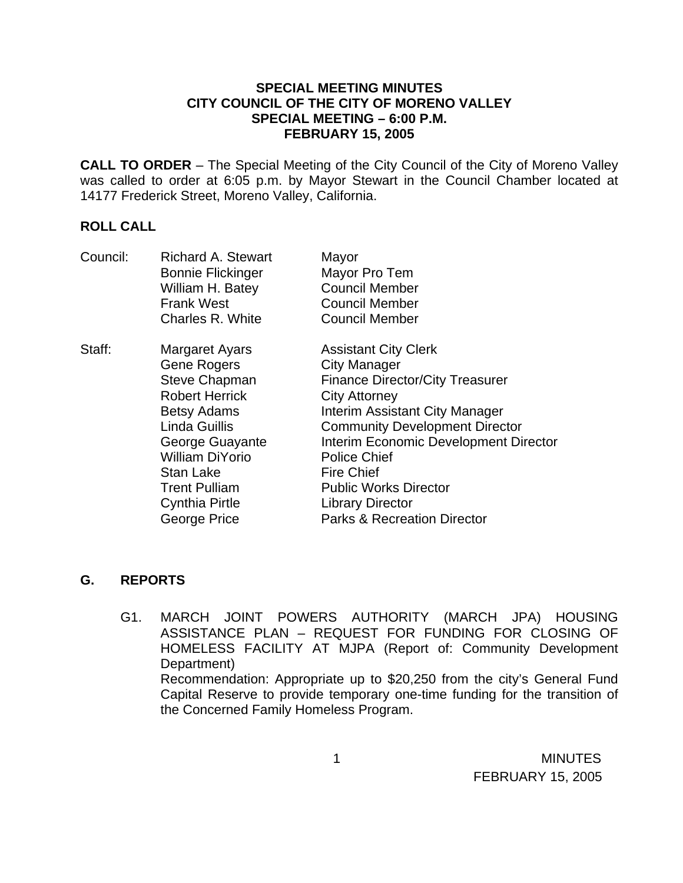## **SPECIAL MEETING MINUTES CITY COUNCIL OF THE CITY OF MORENO VALLEY SPECIAL MEETING – 6:00 P.M. FEBRUARY 15, 2005**

**CALL TO ORDER** – The Special Meeting of the City Council of the City of Moreno Valley was called to order at 6:05 p.m. by Mayor Stewart in the Council Chamber located at 14177 Frederick Street, Moreno Valley, California.

## **ROLL CALL**

| Council: | <b>Richard A. Stewart</b> | Mayor                                  |
|----------|---------------------------|----------------------------------------|
|          | <b>Bonnie Flickinger</b>  | Mayor Pro Tem                          |
|          | William H. Batey          | <b>Council Member</b>                  |
|          | <b>Frank West</b>         | <b>Council Member</b>                  |
|          | Charles R. White          | <b>Council Member</b>                  |
| Staff:   | Margaret Ayars            | <b>Assistant City Clerk</b>            |
|          | <b>Gene Rogers</b>        | <b>City Manager</b>                    |
|          | <b>Steve Chapman</b>      | <b>Finance Director/City Treasurer</b> |
|          | <b>Robert Herrick</b>     | <b>City Attorney</b>                   |
|          | <b>Betsy Adams</b>        | Interim Assistant City Manager         |
|          | <b>Linda Guillis</b>      | <b>Community Development Director</b>  |
|          | George Guayante           | Interim Economic Development Director  |
|          | <b>William DiYorio</b>    | <b>Police Chief</b>                    |
|          | <b>Stan Lake</b>          | <b>Fire Chief</b>                      |
|          | <b>Trent Pulliam</b>      | <b>Public Works Director</b>           |
|          | <b>Cynthia Pirtle</b>     | <b>Library Director</b>                |
|          | George Price              | <b>Parks &amp; Recreation Director</b> |

## **G. REPORTS**

G1. MARCH JOINT POWERS AUTHORITY (MARCH JPA) HOUSING ASSISTANCE PLAN – REQUEST FOR FUNDING FOR CLOSING OF HOMELESS FACILITY AT MJPA (Report of: Community Development Department) Recommendation: Appropriate up to \$20,250 from the city's General Fund Capital Reserve to provide temporary one-time funding for the transition of the Concerned Family Homeless Program.